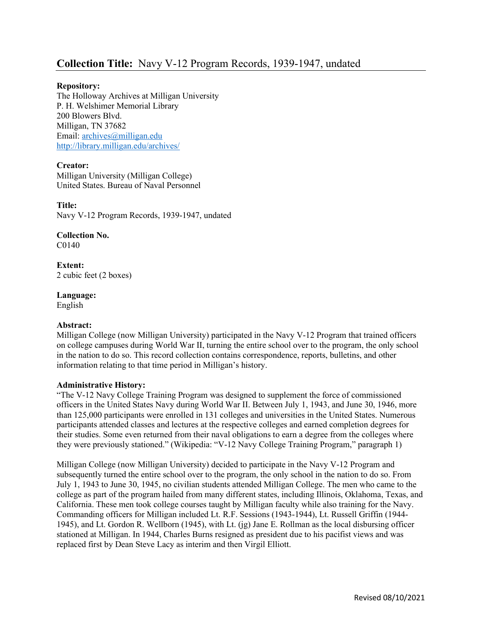# Repository:

The Holloway Archives at Milligan University P. H. Welshimer Memorial Library 200 Blowers Blvd. Milligan, TN 37682 Email: archives@milligan.edu http://library.milligan.edu/archives/

# Creator:

Milligan University (Milligan College) United States. Bureau of Naval Personnel

Title: Navy V-12 Program Records, 1939-1947, undated

Collection No. C0140

Extent: 2 cubic feet (2 boxes)

Language: English

# Abstract:

Milligan College (now Milligan University) participated in the Navy V-12 Program that trained officers on college campuses during World War II, turning the entire school over to the program, the only school in the nation to do so. This record collection contains correspondence, reports, bulletins, and other information relating to that time period in Milligan's history.

## Administrative History:

"The V-12 Navy College Training Program was designed to supplement the force of commissioned officers in the United States Navy during World War II. Between July 1, 1943, and June 30, 1946, more than 125,000 participants were enrolled in 131 colleges and universities in the United States. Numerous participants attended classes and lectures at the respective colleges and earned completion degrees for their studies. Some even returned from their naval obligations to earn a degree from the colleges where they were previously stationed." (Wikipedia: "V-12 Navy College Training Program," paragraph 1)

Milligan College (now Milligan University) decided to participate in the Navy V-12 Program and subsequently turned the entire school over to the program, the only school in the nation to do so. From July 1, 1943 to June 30, 1945, no civilian students attended Milligan College. The men who came to the college as part of the program hailed from many different states, including Illinois, Oklahoma, Texas, and California. These men took college courses taught by Milligan faculty while also training for the Navy. Commanding officers for Milligan included Lt. R.F. Sessions (1943-1944), Lt. Russell Griffin (1944- 1945), and Lt. Gordon R. Wellborn (1945), with Lt. (jg) Jane E. Rollman as the local disbursing officer stationed at Milligan. In 1944, Charles Burns resigned as president due to his pacifist views and was replaced first by Dean Steve Lacy as interim and then Virgil Elliott.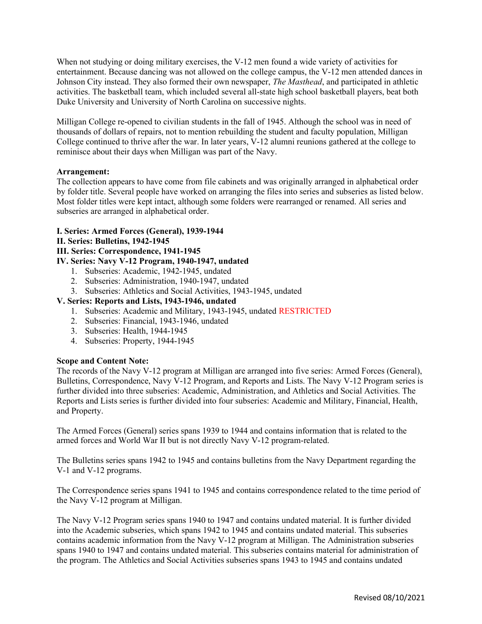When not studying or doing military exercises, the V-12 men found a wide variety of activities for entertainment. Because dancing was not allowed on the college campus, the V-12 men attended dances in Johnson City instead. They also formed their own newspaper, The Masthead, and participated in athletic activities. The basketball team, which included several all-state high school basketball players, beat both Duke University and University of North Carolina on successive nights.

Milligan College re-opened to civilian students in the fall of 1945. Although the school was in need of thousands of dollars of repairs, not to mention rebuilding the student and faculty population, Milligan College continued to thrive after the war. In later years, V-12 alumni reunions gathered at the college to reminisce about their days when Milligan was part of the Navy.

## Arrangement:

The collection appears to have come from file cabinets and was originally arranged in alphabetical order by folder title. Several people have worked on arranging the files into series and subseries as listed below. Most folder titles were kept intact, although some folders were rearranged or renamed. All series and subseries are arranged in alphabetical order.

### I. Series: Armed Forces (General), 1939-1944

#### II. Series: Bulletins, 1942-1945

## III. Series: Correspondence, 1941-1945

## IV. Series: Navy V-12 Program, 1940-1947, undated

- 1. Subseries: Academic, 1942-1945, undated
- 2. Subseries: Administration, 1940-1947, undated
- 3. Subseries: Athletics and Social Activities, 1943-1945, undated

### V. Series: Reports and Lists, 1943-1946, undated

- 1. Subseries: Academic and Military, 1943-1945, undated RESTRICTED
- 2. Subseries: Financial, 1943-1946, undated
- 3. Subseries: Health, 1944-1945
- 4. Subseries: Property, 1944-1945

### Scope and Content Note:

The records of the Navy V-12 program at Milligan are arranged into five series: Armed Forces (General), Bulletins, Correspondence, Navy V-12 Program, and Reports and Lists. The Navy V-12 Program series is further divided into three subseries: Academic, Administration, and Athletics and Social Activities. The Reports and Lists series is further divided into four subseries: Academic and Military, Financial, Health, and Property.

The Armed Forces (General) series spans 1939 to 1944 and contains information that is related to the armed forces and World War II but is not directly Navy V-12 program-related.

The Bulletins series spans 1942 to 1945 and contains bulletins from the Navy Department regarding the V-1 and V-12 programs.

The Correspondence series spans 1941 to 1945 and contains correspondence related to the time period of the Navy V-12 program at Milligan.

The Navy V-12 Program series spans 1940 to 1947 and contains undated material. It is further divided into the Academic subseries, which spans 1942 to 1945 and contains undated material. This subseries contains academic information from the Navy V-12 program at Milligan. The Administration subseries spans 1940 to 1947 and contains undated material. This subseries contains material for administration of the program. The Athletics and Social Activities subseries spans 1943 to 1945 and contains undated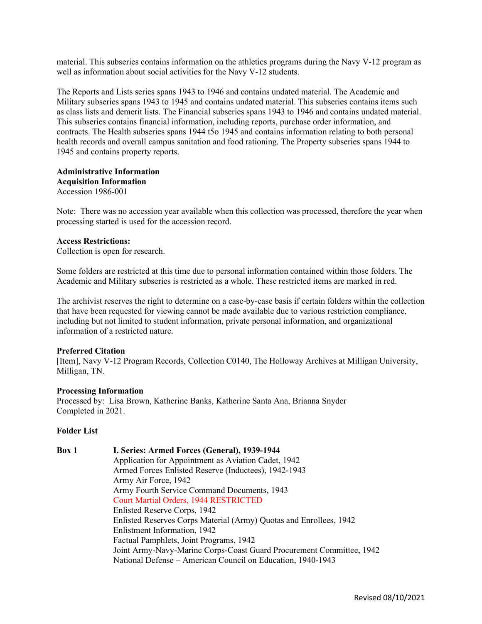material. This subseries contains information on the athletics programs during the Navy V-12 program as well as information about social activities for the Navy V-12 students.

The Reports and Lists series spans 1943 to 1946 and contains undated material. The Academic and Military subseries spans 1943 to 1945 and contains undated material. This subseries contains items such as class lists and demerit lists. The Financial subseries spans 1943 to 1946 and contains undated material. This subseries contains financial information, including reports, purchase order information, and contracts. The Health subseries spans 1944 t5o 1945 and contains information relating to both personal health records and overall campus sanitation and food rationing. The Property subseries spans 1944 to 1945 and contains property reports.

#### Administrative Information Acquisition Information Accession 1986-001

Note: There was no accession year available when this collection was processed, therefore the year when processing started is used for the accession record.

### Access Restrictions:

Collection is open for research.

Some folders are restricted at this time due to personal information contained within those folders. The Academic and Military subseries is restricted as a whole. These restricted items are marked in red.

The archivist reserves the right to determine on a case-by-case basis if certain folders within the collection that have been requested for viewing cannot be made available due to various restriction compliance, including but not limited to student information, private personal information, and organizational information of a restricted nature.

## Preferred Citation

[Item], Navy V-12 Program Records, Collection C0140, The Holloway Archives at Milligan University, Milligan, TN.

#### Processing Information

Processed by: Lisa Brown, Katherine Banks, Katherine Santa Ana, Brianna Snyder Completed in 2021.

#### Folder List

# Box 1 I. Series: Armed Forces (General), 1939-1944 Application for Appointment as Aviation Cadet, 1942 Armed Forces Enlisted Reserve (Inductees), 1942-1943 Army Air Force, 1942 Army Fourth Service Command Documents, 1943 Court Martial Orders, 1944 RESTRICTED Enlisted Reserve Corps, 1942 Enlisted Reserves Corps Material (Army) Quotas and Enrollees, 1942 Enlistment Information, 1942 Factual Pamphlets, Joint Programs, 1942 Joint Army-Navy-Marine Corps-Coast Guard Procurement Committee, 1942 National Defense – American Council on Education, 1940-1943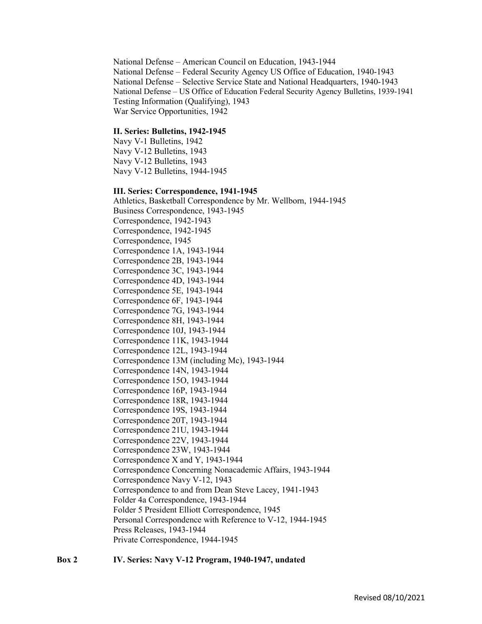National Defense – American Council on Education, 1943-1944 National Defense – Federal Security Agency US Office of Education, 1940-1943 National Defense – Selective Service State and National Headquarters, 1940-1943 National Defense – US Office of Education Federal Security Agency Bulletins, 1939-1941 Testing Information (Qualifying), 1943 War Service Opportunities, 1942

#### II. Series: Bulletins, 1942-1945

Navy V-1 Bulletins, 1942 Navy V-12 Bulletins, 1943 Navy V-12 Bulletins, 1943 Navy V-12 Bulletins, 1944-1945

#### III. Series: Correspondence, 1941-1945

 Athletics, Basketball Correspondence by Mr. Wellborn, 1944-1945 Business Correspondence, 1943-1945 Correspondence, 1942-1943 Correspondence, 1942-1945 Correspondence, 1945 Correspondence 1A, 1943-1944 Correspondence 2B, 1943-1944 Correspondence 3C, 1943-1944 Correspondence 4D, 1943-1944 Correspondence 5E, 1943-1944 Correspondence 6F, 1943-1944 Correspondence 7G, 1943-1944 Correspondence 8H, 1943-1944 Correspondence 10J, 1943-1944 Correspondence 11K, 1943-1944 Correspondence 12L, 1943-1944 Correspondence 13M (including Mc), 1943-1944 Correspondence 14N, 1943-1944 Correspondence 15O, 1943-1944 Correspondence 16P, 1943-1944 Correspondence 18R, 1943-1944 Correspondence 19S, 1943-1944 Correspondence 20T, 1943-1944 Correspondence 21U, 1943-1944 Correspondence 22V, 1943-1944 Correspondence 23W, 1943-1944 Correspondence X and Y, 1943-1944 Correspondence Concerning Nonacademic Affairs, 1943-1944 Correspondence Navy V-12, 1943 Correspondence to and from Dean Steve Lacey, 1941-1943 Folder 4a Correspondence, 1943-1944 Folder 5 President Elliott Correspondence, 1945 Personal Correspondence with Reference to V-12, 1944-1945 Press Releases, 1943-1944 Private Correspondence, 1944-1945

#### Box 2 IV. Series: Navy V-12 Program, 1940-1947, undated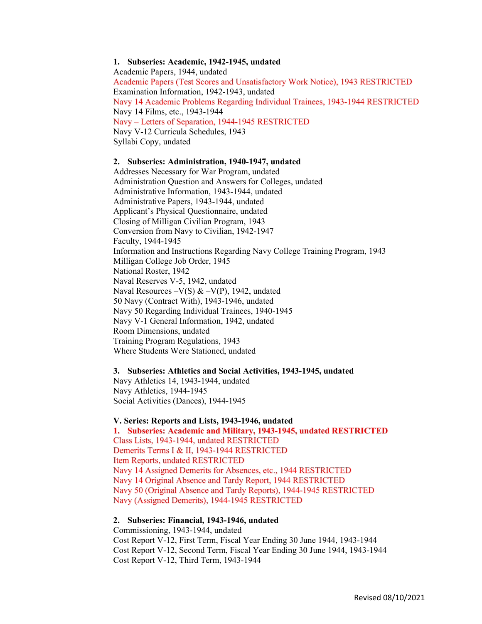## 1. Subseries: Academic, 1942-1945, undated

Academic Papers, 1944, undated Academic Papers (Test Scores and Unsatisfactory Work Notice), 1943 RESTRICTED Examination Information, 1942-1943, undated Navy 14 Academic Problems Regarding Individual Trainees, 1943-1944 RESTRICTED Navy 14 Films, etc., 1943-1944 Navy – Letters of Separation, 1944-1945 RESTRICTED Navy V-12 Curricula Schedules, 1943 Syllabi Copy, undated

#### 2. Subseries: Administration, 1940-1947, undated

Addresses Necessary for War Program, undated Administration Question and Answers for Colleges, undated Administrative Information, 1943-1944, undated Administrative Papers, 1943-1944, undated Applicant's Physical Questionnaire, undated Closing of Milligan Civilian Program, 1943 Conversion from Navy to Civilian, 1942-1947 Faculty, 1944-1945 Information and Instructions Regarding Navy College Training Program, 1943 Milligan College Job Order, 1945 National Roster, 1942 Naval Reserves V-5, 1942, undated Naval Resources –V(S) & –V(P), 1942, undated 50 Navy (Contract With), 1943-1946, undated Navy 50 Regarding Individual Trainees, 1940-1945 Navy V-1 General Information, 1942, undated Room Dimensions, undated Training Program Regulations, 1943 Where Students Were Stationed, undated

### 3. Subseries: Athletics and Social Activities, 1943-1945, undated Navy Athletics 14, 1943-1944, undated Navy Athletics, 1944-1945 Social Activities (Dances), 1944-1945

#### V. Series: Reports and Lists, 1943-1946, undated

1. Subseries: Academic and Military, 1943-1945, undated RESTRICTED Class Lists, 1943-1944, undated RESTRICTED Demerits Terms I & II, 1943-1944 RESTRICTED Item Reports, undated RESTRICTED Navy 14 Assigned Demerits for Absences, etc., 1944 RESTRICTED Navy 14 Original Absence and Tardy Report, 1944 RESTRICTED Navy 50 (Original Absence and Tardy Reports), 1944-1945 RESTRICTED Navy (Assigned Demerits), 1944-1945 RESTRICTED

# 2. Subseries: Financial, 1943-1946, undated

Commissioning, 1943-1944, undated Cost Report V-12, First Term, Fiscal Year Ending 30 June 1944, 1943-1944 Cost Report V-12, Second Term, Fiscal Year Ending 30 June 1944, 1943-1944 Cost Report V-12, Third Term, 1943-1944